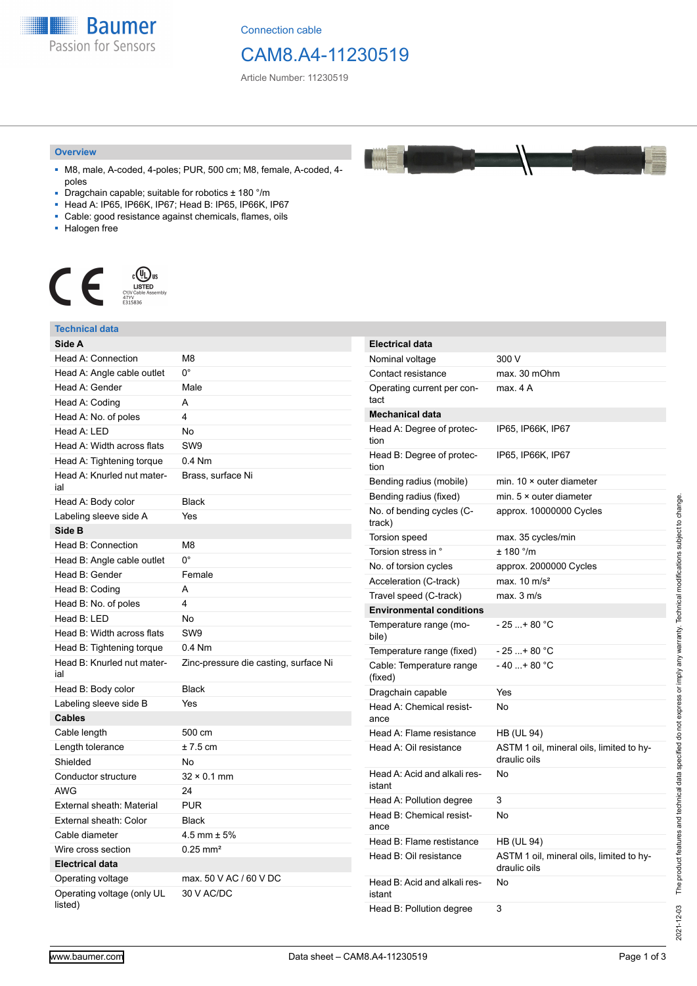**Baumer** Passion for Sensors

Connection cable

## CAM8.A4-11230519

Article Number: 11230519

#### **Overview**

- M8, male, A-coded, 4-poles; PUR, 500 cm; M8, female, A-coded, 4 poles
- Dragchain capable; suitable for robotics ± 180 °/m
- Head A: IP65, IP66K, IP67; Head B: IP65, IP66K, IP67
- Cable: good resistance against chemicals, flames, oils
- Halogen free



### **Technical data**

| Side A                                |                                       | <b>Electrical data</b>              |                                                          |
|---------------------------------------|---------------------------------------|-------------------------------------|----------------------------------------------------------|
| Head A: Connection                    | M <sub>8</sub>                        | Nominal voltage                     | 300 V                                                    |
| Head A: Angle cable outlet            | $0^{\circ}$                           | Contact resistance                  | max. 30 mOhm                                             |
| Head A: Gender                        | Male                                  | Operating current per con-          | max. 4 A                                                 |
| Head A: Coding                        | A                                     | tact                                |                                                          |
| Head A: No. of poles                  | $\overline{4}$                        | <b>Mechanical data</b>              |                                                          |
| Head A: LED                           | No                                    | Head A: Degree of protec-           | IP65, IP66K, IP67                                        |
| Head A: Width across flats            | SW9                                   | tion                                |                                                          |
| Head A: Tightening torque             | $0.4$ Nm                              | Head B: Degree of protec-<br>tion   | IP65, IP66K, IP67                                        |
| Head A: Knurled nut mater-<br>ial     | Brass, surface Ni                     | Bending radius (mobile)             | min. $10 \times$ outer diameter                          |
| Head A: Body color                    | <b>Black</b>                          | Bending radius (fixed)              | min. $5 \times$ outer diameter                           |
| Labeling sleeve side A                | Yes                                   | No. of bending cycles (C-           | approx. 10000000 Cycles                                  |
| Side B                                |                                       | track)                              |                                                          |
| Head B: Connection                    | M <sub>8</sub>                        | Torsion speed                       | max. 35 cycles/min                                       |
| Head B: Angle cable outlet            | $0^{\circ}$                           | Torsion stress in °                 | $\pm$ 180 °/m                                            |
| Head B: Gender                        | Female                                | No. of torsion cycles               | approx. 2000000 Cycles                                   |
| Head B: Coding                        | Α                                     | Acceleration (C-track)              | max. $10 \text{ m/s}^2$                                  |
| Head B: No. of poles                  | $\overline{4}$                        | Travel speed (C-track)              | max. 3 m/s                                               |
| Head B: LED                           | No                                    | <b>Environmental conditions</b>     |                                                          |
| Head B: Width across flats            | SW <sub>9</sub>                       | Temperature range (mo-<br>bile)     | $-25+80 °C$                                              |
| Head B: Tightening torque             | $0.4$ Nm                              | Temperature range (fixed)           | $-25+80 °C$                                              |
| Head B: Knurled nut mater-<br>ial     | Zinc-pressure die casting, surface Ni | Cable: Temperature range<br>(fixed) | $-40+80 °C$                                              |
| Head B: Body color                    | <b>Black</b>                          | Dragchain capable                   | Yes                                                      |
| Labeling sleeve side B                | Yes                                   | Head A: Chemical resist-            | No                                                       |
| <b>Cables</b>                         |                                       | ance                                |                                                          |
| Cable length                          | 500 cm                                | Head A: Flame resistance            | <b>HB (UL 94)</b>                                        |
| Length tolerance                      | $± 7.5$ cm                            | Head A: Oil resistance              | ASTM 1 oil, mineral oils, limited to hy-<br>draulic oils |
| Shielded                              | <b>No</b>                             |                                     |                                                          |
| Conductor structure                   | $32 \times 0.1$ mm                    | Head A: Acid and alkali res-        | No                                                       |
| <b>AWG</b>                            | 24                                    | istant                              |                                                          |
| External sheath: Material             | <b>PUR</b>                            | Head A: Pollution degree            | 3                                                        |
| External sheath: Color                | <b>Black</b>                          | Head B: Chemical resist-<br>ance    | <b>No</b>                                                |
| Cable diameter                        | $4.5$ mm $\pm 5%$                     | Head B: Flame restistance           | <b>HB (UL 94)</b>                                        |
| Wire cross section                    | $0.25$ mm <sup>2</sup>                |                                     |                                                          |
| <b>Electrical data</b>                |                                       | Head B: Oil resistance              | ASTM 1 oil, mineral oils, limited to hy-<br>draulic oils |
| Operating voltage                     | max. 50 V AC / 60 V DC                | Head B: Acid and alkali res-        | No                                                       |
| Operating voltage (only UL<br>listed) | 30 V AC/DC                            | istant                              | 3                                                        |
|                                       |                                       | Head B: Pollution degree            |                                                          |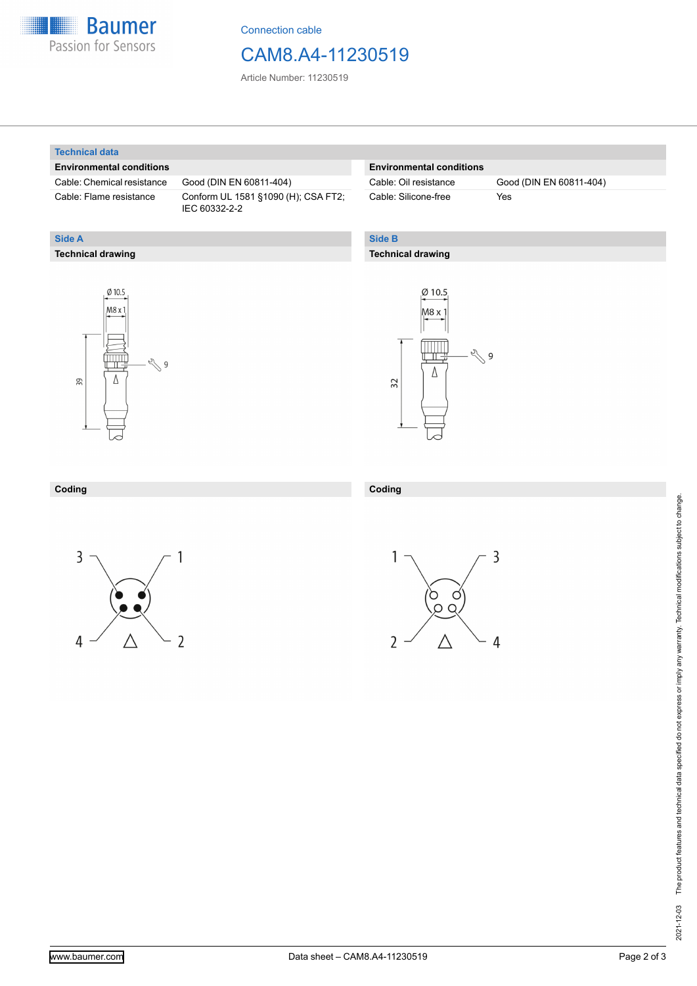

Connection cable

### CAM8.A4-11230519

Article Number: 11230519

#### **Technical data**

**Technical drawing**

**Side A**

#### **Environmental conditions**

Cable: Chemical resistance Good (DIN EN 60811-404)

Cable: Flame resistance Conform UL 1581 §1090 (H); CSA FT2; IEC 60332-2-2

#### **Environmental conditions**

Cable: Silicone-free Yes

Cable: Oil resistance Good (DIN EN 60811-404)

#### **Side B**

**Coding**

#### **Technical drawing**





#### **Coding**